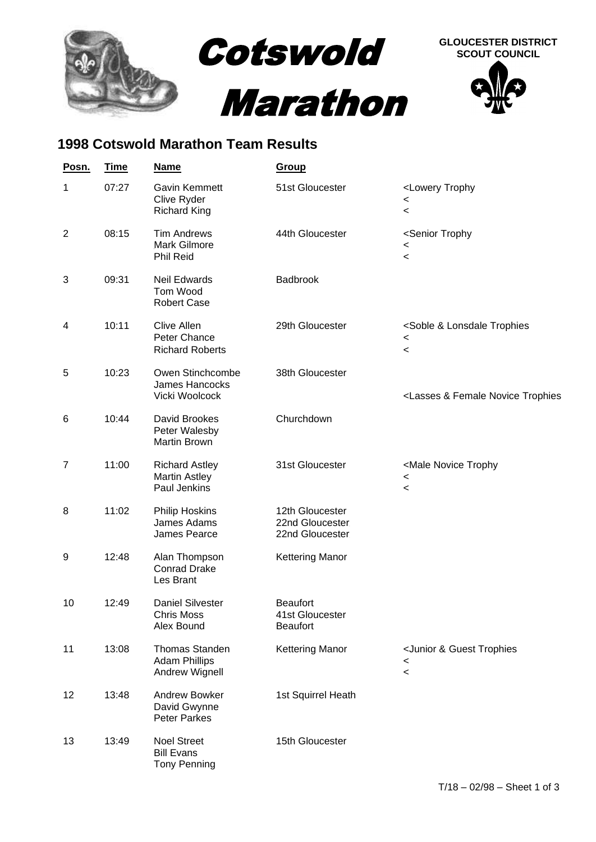

## **1998 Cotswold Marathon Team Results**

| Posn.          | <b>Time</b> | <u>Name</u>                                                     | Group                                                   |                                                                                                |
|----------------|-------------|-----------------------------------------------------------------|---------------------------------------------------------|------------------------------------------------------------------------------------------------|
| 1              | 07:27       | Gavin Kemmett<br>Clive Ryder<br><b>Richard King</b>             | 51st Gloucester                                         | <lowery trophy<br=""><math>\,&lt;\,</math><br/><math>\,&lt;\,</math></lowery>                  |
| $\overline{2}$ | 08:15       | <b>Tim Andrews</b><br><b>Mark Gilmore</b><br>Phil Reid          | 44th Gloucester                                         | <senior trophy<br=""><math>\,&lt;</math><br/><math>\,&lt;\,</math></senior>                    |
| 3              | 09:31       | <b>Neil Edwards</b><br>Tom Wood<br><b>Robert Case</b>           | Badbrook                                                |                                                                                                |
| 4              | 10:11       | <b>Clive Allen</b><br>Peter Chance<br><b>Richard Roberts</b>    | 29th Gloucester                                         | <soble &="" lonsdale="" trophies<br=""><math>\,&lt;\,</math><br/><math>\,&lt;\,</math></soble> |
| 5              | 10:23       | Owen Stinchcombe<br>James Hancocks<br>Vicki Woolcock            | 38th Gloucester                                         | <lasses &="" female="" novice="" td="" trophies<=""></lasses>                                  |
| 6              | 10:44       | David Brookes<br>Peter Walesby<br>Martin Brown                  | Churchdown                                              |                                                                                                |
| $\overline{7}$ | 11:00       | <b>Richard Astley</b><br><b>Martin Astley</b><br>Paul Jenkins   | 31st Gloucester                                         | <male novice="" trophy<br=""><math>\,&lt;</math><br/><math>\,&lt;\,</math></male>              |
| 8              | 11:02       | Philip Hoskins.<br>James Adams<br>James Pearce                  | 12th Gloucester<br>22nd Gloucester.<br>22nd Gloucester. |                                                                                                |
| 9              | 12:48       | Alan Thompson<br><b>Conrad Drake</b><br>Les Brant               | <b>Kettering Manor</b>                                  |                                                                                                |
| 10             | 12:49       | <b>Daniel Silvester</b><br><b>Chris Moss</b><br>Alex Bound      | <b>Beaufort</b><br>41st Gloucester<br><b>Beaufort</b>   |                                                                                                |
| 11             | 13:08       | <b>Thomas Standen</b><br><b>Adam Phillips</b><br>Andrew Wignell | <b>Kettering Manor</b>                                  | <junior &="" guest="" trophies<br=""><math>\,&lt;\,</math><br/><math>\,&lt;\,</math></junior>  |
| 12             | 13:48       | Andrew Bowker<br>David Gwynne<br><b>Peter Parkes</b>            | 1st Squirrel Heath                                      |                                                                                                |
| 13             | 13:49       | <b>Noel Street</b><br><b>Bill Evans</b><br><b>Tony Penning</b>  | 15th Gloucester                                         |                                                                                                |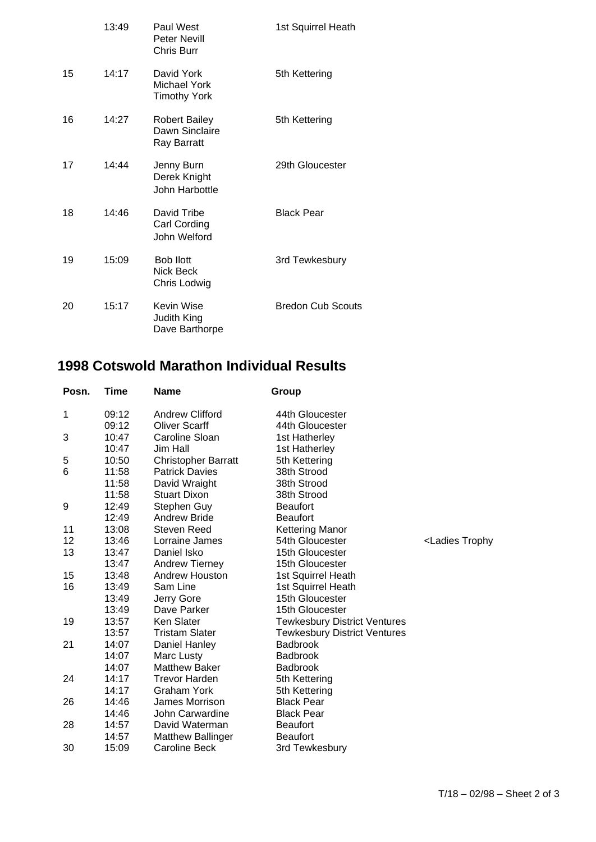|    | 13:49 | Paul West<br><b>Peter Nevill</b><br>Chris Burr        | 1st Squirrel Heath       |
|----|-------|-------------------------------------------------------|--------------------------|
| 15 | 14:17 | David York<br>Michael York<br><b>Timothy York</b>     | 5th Kettering            |
| 16 | 14:27 | <b>Robert Bailey</b><br>Dawn Sinclaire<br>Ray Barratt | 5th Kettering            |
| 17 | 14:44 | Jenny Burn<br>Derek Knight<br>John Harbottle          | 29th Gloucester          |
| 18 | 14:46 | David Tribe<br>Carl Cording<br>John Welford           | <b>Black Pear</b>        |
| 19 | 15:09 | <b>Bob llott</b><br>Nick Beck<br>Chris Lodwig         | 3rd Tewkesbury           |
| 20 | 15:17 | Kevin Wise<br>Judith King<br>Dave Barthorpe           | <b>Bredon Cub Scouts</b> |

## **1998 Cotswold Marathon Individual Results**

| Posn. | <b>Time</b> | <b>Name</b>                | Group                               |                                    |
|-------|-------------|----------------------------|-------------------------------------|------------------------------------|
| 1     | 09:12       | Andrew Clifford            | 44th Gloucester                     |                                    |
|       | 09:12       | <b>Oliver Scarff</b>       | 44th Gloucester                     |                                    |
| 3     | 10:47       | Caroline Sloan             | 1st Hatherley                       |                                    |
|       | 10:47       | Jim Hall                   | 1st Hatherley                       |                                    |
| 5     | 10:50       | <b>Christopher Barratt</b> | 5th Kettering                       |                                    |
| 6     | 11:58       | <b>Patrick Davies</b>      | 38th Strood                         |                                    |
|       | 11:58       | David Wraight              | 38th Strood                         |                                    |
|       | 11:58       | <b>Stuart Dixon</b>        | 38th Strood                         |                                    |
| 9     | 12:49       | Stephen Guy                | <b>Beaufort</b>                     |                                    |
|       | 12:49       | <b>Andrew Bride</b>        | <b>Beaufort</b>                     |                                    |
| 11    | 13:08       | <b>Steven Reed</b>         | <b>Kettering Manor</b>              |                                    |
| 12    | 13:46       | Lorraine James             | 54th Gloucester                     | <ladies td="" trophy<=""></ladies> |
| 13    | 13:47       | Daniel Isko                | 15th Gloucester                     |                                    |
|       | 13:47       | <b>Andrew Tierney</b>      | 15th Gloucester                     |                                    |
| 15    | 13:48       | Andrew Houston             | 1st Squirrel Heath                  |                                    |
| 16    | 13:49       | Sam Line                   | 1st Squirrel Heath                  |                                    |
|       | 13:49       | Jerry Gore                 | 15th Gloucester                     |                                    |
|       | 13:49       | Dave Parker                | 15th Gloucester                     |                                    |
| 19    | 13:57       | Ken Slater                 | <b>Tewkesbury District Ventures</b> |                                    |
|       | 13:57       | <b>Tristam Slater</b>      | <b>Tewkesbury District Ventures</b> |                                    |
| 21    | 14:07       | Daniel Hanley              | <b>Badbrook</b>                     |                                    |
|       | 14:07       | Marc Lusty                 | <b>Badbrook</b>                     |                                    |
|       | 14:07       | <b>Matthew Baker</b>       | <b>Badbrook</b>                     |                                    |
| 24    | 14:17       | <b>Trevor Harden</b>       | 5th Kettering                       |                                    |
|       | 14:17       | Graham York                | 5th Kettering                       |                                    |
| 26    | 14:46       | James Morrison             | <b>Black Pear</b>                   |                                    |
|       | 14:46       | John Carwardine            | <b>Black Pear</b>                   |                                    |
| 28    | 14:57       | David Waterman             | <b>Beaufort</b>                     |                                    |
|       | 14:57       | <b>Matthew Ballinger</b>   | <b>Beaufort</b>                     |                                    |
| 30    | 15:09       | Caroline Beck              | 3rd Tewkesbury                      |                                    |